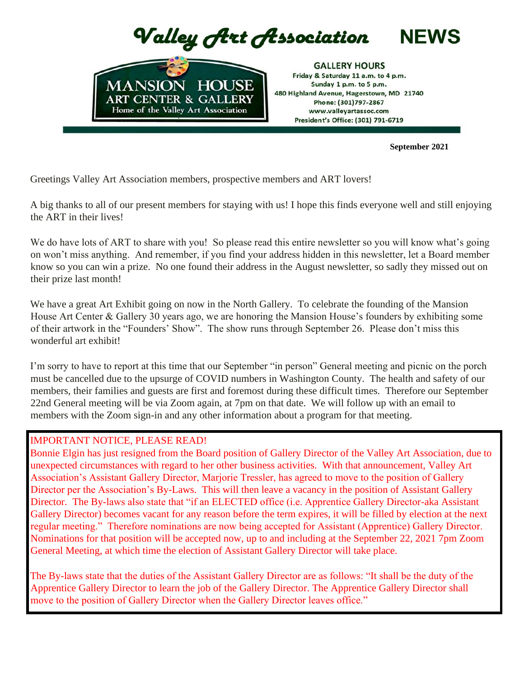

 **September 2021**

Greetings Valley Art Association members, prospective members and ART lovers!

A big thanks to all of our present members for staying with us! I hope this finds everyone well and still enjoying the ART in their lives!

We do have lots of ART to share with you! So please read this entire newsletter so you will know what's going on won't miss anything. And remember, if you find your address hidden in this newsletter, let a Board member know so you can win a prize. No one found their address in the August newsletter, so sadly they missed out on their prize last month!

We have a great Art Exhibit going on now in the North Gallery. To celebrate the founding of the Mansion House Art Center & Gallery 30 years ago, we are honoring the Mansion House's founders by exhibiting some of their artwork in the "Founders' Show". The show runs through September 26. Please don't miss this wonderful art exhibit!

I'm sorry to have to report at this time that our September "in person" General meeting and picnic on the porch must be cancelled due to the upsurge of COVID numbers in Washington County. The health and safety of our members, their families and guests are first and foremost during these difficult times. Therefore our September 22nd General meeting will be via Zoom again, at 7pm on that date. We will follow up with an email to members with the Zoom sign-in and any other information about a program for that meeting.

### IMPORTANT NOTICE, PLEASE READ!

Bonnie Elgin has just resigned from the Board position of Gallery Director of the Valley Art Association, due to unexpected circumstances with regard to her other business activities. With that announcement, Valley Art Association's Assistant Gallery Director, Marjorie Tressler, has agreed to move to the position of Gallery Director per the Association's By-Laws. This will then leave a vacancy in the position of Assistant Gallery Director. The By-laws also state that "if an ELECTED office (i.e. Apprentice Gallery Director-aka Assistant Gallery Director) becomes vacant for any reason before the term expires, it will be filled by election at the next regular meeting." Therefore nominations are now being accepted for Assistant (Apprentice) Gallery Director. Nominations for that position will be accepted now, up to and including at the September 22, 2021 7pm Zoom General Meeting, at which time the election of Assistant Gallery Director will take place.

The By-laws state that the duties of the Assistant Gallery Director are as follows: "It shall be the duty of the Apprentice Gallery Director to learn the job of the Gallery Director. The Apprentice Gallery Director shall move to the position of Gallery Director when the Gallery Director leaves office."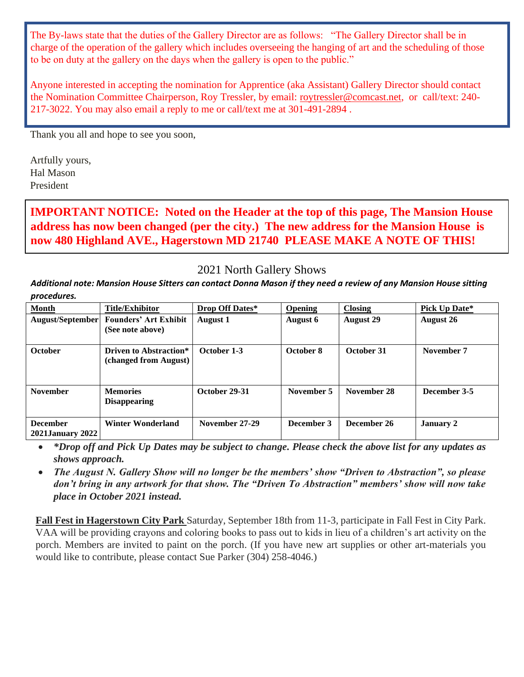The By-laws state that the duties of the Gallery Director are as follows: "The Gallery Director shall be in charge of the operation of the gallery which includes overseeing the hanging of art and the scheduling of those to be on duty at the gallery on the days when the gallery is open to the public."

Anyone interested in accepting the nomination for Apprentice (aka Assistant) Gallery Director should contact the Nomination Committee Chairperson, Roy Tressler, by email: roytressler@comcast.net, or call/text: 240- 217-3022. You may also email a reply to me or call/text me at 301-491-2894 .

Thank you all and hope to see you soon,

Artfully yours, Hal Mason President

**IMPORTANT NOTICE: Noted on the Header at the top of this page, The Mansion House address has now been changed (per the city.) The new address for the Mansion House is now 480 Highland AVE., Hagerstown MD 21740 PLEASE MAKE A NOTE OF THIS!**

# 2021 North Gallery Shows

*Additional note: Mansion House Sitters can contact Donna Mason if they need a review of any Mansion House sitting procedures.*

| <b>Month</b>                               | <b>Title/Exhibitor</b>                           | Drop Off Dates* | <b>Opening</b> | <b>Closing</b>   | Pick Up Date*    |
|--------------------------------------------|--------------------------------------------------|-----------------|----------------|------------------|------------------|
| August/September                           | <b>Founders' Art Exhibit</b><br>(See note above) | August 1        | August 6       | <b>August 29</b> | <b>August 26</b> |
|                                            |                                                  |                 |                |                  |                  |
| <b>October</b>                             | Driven to Abstraction*<br>(changed from August)  | October 1-3     | October 8      | October 31       | November 7       |
| <b>November</b>                            | <b>Memories</b><br><b>Disappearing</b>           | October 29-31   | November 5     | November 28      | December 3-5     |
| <b>December</b><br><b>2021January 2022</b> | <b>Winter Wonderland</b>                         | November 27-29  | December 3     | December 26      | <b>January 2</b> |

• *\*Drop off and Pick Up Dates may be subject to change. Please check the above list for any updates as shows approach.*

• *The August N. Gallery Show will no longer be the members' show "Driven to Abstraction", so please don't bring in any artwork for that show. The "Driven To Abstraction" members' show will now take place in October 2021 instead.*

**Fall Fest in Hagerstown City Park** Saturday, September 18th from 11-3, participate in Fall Fest in City Park. VAA will be providing crayons and coloring books to pass out to kids in lieu of a children's art activity on the porch. Members are invited to paint on the porch. (If you have new art supplies or other art-materials you would like to contribute, please contact Sue Parker (304) 258-4046.)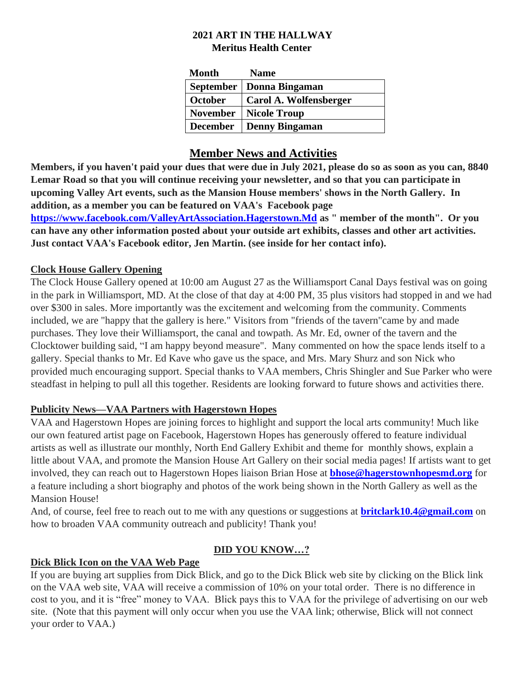# **2021 ART IN THE HALLWAY Meritus Health Center**

| Month           | <b>Name</b>                |
|-----------------|----------------------------|
|                 | September   Donna Bingaman |
| <b>October</b>  | Carol A. Wolfensberger     |
| <b>November</b> | Nicole Troup               |
| <b>December</b> | Denny Bingaman             |

# **Member News and Activities**

**Members, if you haven't paid your dues that were due in July 2021, please do so as soon as you can, 8840 Lemar Road so that you will continue receiving your newsletter, and so that you can participate in upcoming Valley Art events, such as the Mansion House members' shows in the North Gallery. In addition, as a member you can be featured on VAA's Facebook page** 

**https://www.facebook.com/ValleyArtAssociation.Hagerstown.Md as " member of the month". Or you can have any other information posted about your outside art exhibits, classes and other art activities. Just contact VAA's Facebook editor, Jen Martin. (see inside for her contact info).** 

## **Clock House Gallery Opening**

The Clock House Gallery opened at 10:00 am August 27 as the Williamsport Canal Days festival was on going in the park in Williamsport, MD. At the close of that day at 4:00 PM, 35 plus visitors had stopped in and we had over \$300 in sales. More importantly was the excitement and welcoming from the community. Comments included, we are "happy that the gallery is here." Visitors from "friends of the tavern"came by and made purchases. They love their Williamsport, the canal and towpath. As Mr. Ed, owner of the tavern and the Clocktower building said, "I am happy beyond measure". Many commented on how the space lends itself to a gallery. Special thanks to Mr. Ed Kave who gave us the space, and Mrs. Mary Shurz and son Nick who provided much encouraging support. Special thanks to VAA members, Chris Shingler and Sue Parker who were steadfast in helping to pull all this together. Residents are looking forward to future shows and activities there.

## **Publicity News—VAA Partners with Hagerstown Hopes**

VAA and Hagerstown Hopes are joining forces to highlight and support the local arts community! Much like our own featured artist page on Facebook, Hagerstown Hopes has generously offered to feature individual artists as well as illustrate our monthly, North End Gallery Exhibit and theme for monthly shows, explain a little about VAA, and promote the Mansion House Art Gallery on their social media pages! If artists want to get involved, they can reach out to Hagerstown Hopes liaison Brian Hose at **bhose@hagerstownhopesmd.org** for a feature including a short biography and photos of the work being shown in the North Gallery as well as the Mansion House!

And, of course, feel free to reach out to me with any questions or suggestions at **britclark10.4@gmail.com** on how to broaden VAA community outreach and publicity! Thank you!

# **DID YOU KNOW…?**

## **Dick Blick Icon on the VAA Web Page**

If you are buying art supplies from Dick Blick, and go to the Dick Blick web site by clicking on the Blick link on the VAA web site, VAA will receive a commission of 10% on your total order. There is no difference in cost to you, and it is "free" money to VAA. Blick pays this to VAA for the privilege of advertising on our web site. (Note that this payment will only occur when you use the VAA link; otherwise, Blick will not connect your order to VAA.)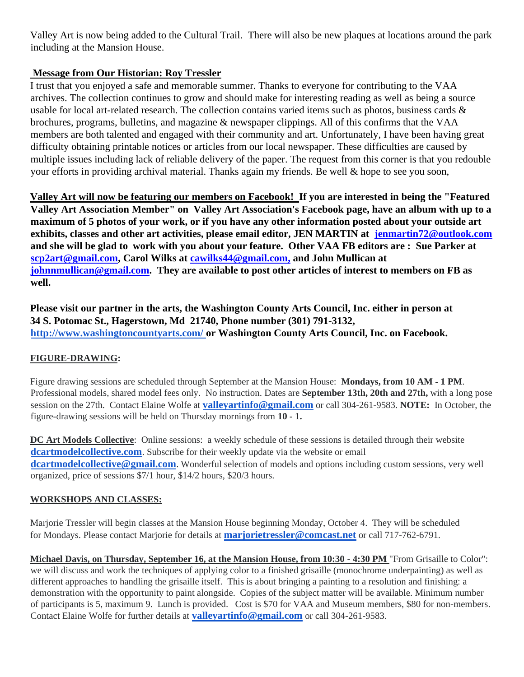Valley Art is now being added to the Cultural Trail. There will also be new plaques at locations around the park including at the Mansion House.

## **Message from Our Historian: Roy Tressler**

I trust that you enjoyed a safe and memorable summer. Thanks to everyone for contributing to the VAA archives. The collection continues to grow and should make for interesting reading as well as being a source usable for local art-related research. The collection contains varied items such as photos, business cards & brochures, programs, bulletins, and magazine & newspaper clippings. All of this confirms that the VAA members are both talented and engaged with their community and art. Unfortunately, I have been having great difficulty obtaining printable notices or articles from our local newspaper. These difficulties are caused by multiple issues including lack of reliable delivery of the paper. The request from this corner is that you redouble your efforts in providing archival material. Thanks again my friends. Be well & hope to see you soon,

**Valley Art will now be featuring our members on Facebook! If you are interested in being the "Featured Valley Art Association Member" on Valley Art Association's Facebook page, have an album with up to a maximum of 5 photos of your work, or if you have any other information posted about your outside art exhibits, classes and other art activities, please email editor, JEN MARTIN at jenmartin72@outlook.com and she will be glad to work with you about your feature. Other VAA FB editors are : Sue Parker at scp2art@gmail.com, Carol Wilks at cawilks44@gmail.com, and John Mullican at johnnmullican@gmail.com. They are available to post other articles of interest to members on FB as well.** 

**Please visit our partner in the arts, the Washington County Arts Council, Inc. either in person at 34 S. Potomac St., Hagerstown, Md 21740, Phone number (301) 791-3132, <http://www.washingtoncountyarts.com/> [o](http://www.washingtoncountyarts.com/)r Washington County Arts Council, Inc. on Facebook.** 

### **FIGURE-DRAWING:**

Figure drawing sessions are scheduled through September at the Mansion House: **Mondays, from 10 AM - 1 PM**. Professional models, shared model fees only. No instruction. Dates are **September 13th, 20th and 27th,** with a long pose session on the 27th. Contact Elaine Wolfe at **valleyartinfo@gmail.com** or call 304-261-9583. **NOTE:** In October, the figure-drawing sessions will be held on Thursday mornings from **10 - 1.**

**DC Art Models Collective**: Online sessions: a weekly schedule of these sessions is detailed through their website **dcartmodelcollective.com**. Subscribe for their weekly update via the website or email **dcartmodelcollective@gmail.com**. Wonderful selection of models and options including custom sessions, very well organized, price of sessions \$7/1 hour, \$14/2 hours, \$20/3 hours.

#### **WORKSHOPS AND CLASSES:**

Marjorie Tressler will begin classes at the Mansion House beginning Monday, October 4. They will be scheduled for Mondays. Please contact Marjorie for details at **marjorietressler@comcast.net** or call 717-762-6791.

**Michael Davis, on Thursday, September 16, at the Mansion House, from 10:30 - 4:30 PM** "From Grisaille to Color": we will discuss and work the techniques of applying color to a finished grisaille (monochrome underpainting) as well as different approaches to handling the grisaille itself. This is about bringing a painting to a resolution and finishing: a demonstration with the opportunity to paint alongside. Copies of the subject matter will be available. Minimum number of participants is 5, maximum 9. Lunch is provided. Cost is \$70 for VAA and Museum members, \$80 for non-members. Contact Elaine Wolfe for further details at **valleyartinfo@gmail.com** or call 304-261-9583.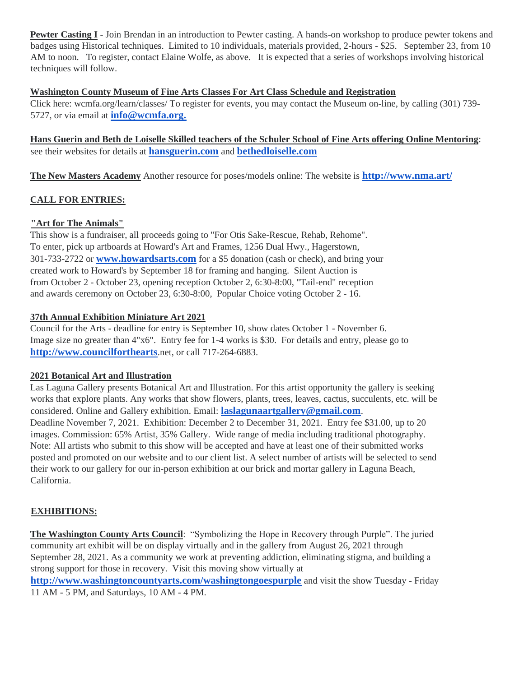**Pewter Casting I** - Join Brendan in an introduction to Pewter casting. A hands-on workshop to produce pewter tokens and badges using Historical techniques. Limited to 10 individuals, materials provided, 2-hours - \$25. September 23, from 10 AM to noon. To register, contact Elaine Wolfe, as above. It is expected that a series of workshops involving historical techniques will follow.

#### **Washington County Museum of Fine Arts Classes For Art Class Schedule and Registration**

Click here: wcmfa.org/learn/classes/ To register for events, you may contact the Museum on-line, by calling (301) 739- 5727, or via email at **info@wcmfa.org.**

**Hans Guerin and Beth de Loiselle Skilled teachers of the Schuler School of Fine Arts offering Online Mentoring**: see their websites for details at **hansguerin.com** and **bethedloiselle.com** 

**The New Masters Academy** Another resource for poses/models online: The website is **<http://www.nma.art/>**

#### **CALL FOR ENTRIES:**

#### **"Art for The Animals"**

This show is a fundraiser, all proceeds going to "For Otis Sake-Rescue, Rehab, Rehome". To enter, pick up artboards at Howard's Art and Frames, 1256 Dual Hwy., Hagerstown, 301-733-2722 or **www.howardsarts.com** for a \$5 donation (cash or check), and bring your created work to Howard's by September 18 for framing and hanging. Silent Auction is from October 2 - October 23, opening reception October 2, 6:30-8:00, "Tail-end" reception and awards ceremony on October 23, 6:30-8:00, Popular Choice voting October 2 - 16.

#### **37th Annual Exhibition Miniature Art 2021**

Council for the Arts - deadline for entry is September 10, show dates October 1 - November 6. Image size no greater than 4"x6". Entry fee for 1-4 works is \$30. For details and entry, please go to **http://www.councilforthearts**.net, or call 717-264-6883.

#### **2021 Botanical Art and Illustration**

Las Laguna Gallery presents Botanical Art and Illustration. For this artist opportunity the gallery is seeking works that explore plants. Any works that show flowers, plants, trees, leaves, cactus, succulents, etc. will be considered. Online and Gallery exhibition. Email: **laslagunaartgallery@gmail.com**. Deadline November 7, 2021. Exhibition: December 2 to December 31, 2021. Entry fee \$31.00, up to 20 images. Commission: 65% Artist, 35% Gallery. Wide range of media including traditional photography. Note: All artists who submit to this show will be accepted and have at least one of their submitted works posted and promoted on our website and to our client list. A select number of artists will be selected to send their work to our gallery for our in-person exhibition at our brick and mortar gallery in Laguna Beach, California.

#### **EXHIBITIONS:**

**The Washington County Arts Council**: "Symbolizing the Hope in Recovery through Purple". The juried community art exhibit will be on display virtually and in the gallery from August 26, 2021 through September 28, 2021. As a community we work at preventing addiction, eliminating stigma, and building a strong support for those in recovery. Visit this moving show virtually at **http://www.washingtoncountyarts.com/washingtongoespurple** and visit the show Tuesday - Friday 11 AM - 5 PM, and Saturdays, 10 AM - 4 PM.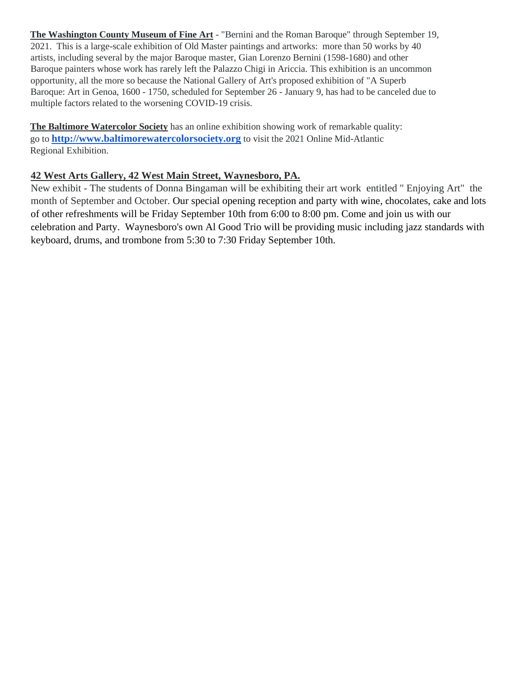**The Washington County Museum of Fine Art** - "Bernini and the Roman Baroque" through September 19, 2021. This is a large-scale exhibition of Old Master paintings and artworks: more than 50 works by 40 artists, including several by the major Baroque master, Gian Lorenzo Bernini (1598-1680) and other Baroque painters whose work has rarely left the Palazzo Chigi in Ariccia. This exhibition is an uncommon opportunity, all the more so because the National Gallery of Art's proposed exhibition of "A Superb Baroque: Art in Genoa, 1600 - 1750, scheduled for September 26 - January 9, has had to be canceled due to multiple factors related to the worsening COVID-19 crisis.

**The Baltimore Watercolor Society** has an online exhibition showing work of remarkable quality: go to **http://www.baltimorewatercolorsociety.org** to visit the 2021 Online Mid-Atlantic Regional Exhibition.

### **42 West Arts Gallery, 42 West Main Street, Waynesboro, PA.**

New exhibit - The students of Donna Bingaman will be exhibiting their art work entitled " Enjoying Art" the month of September and October. Our special opening reception and party with wine, chocolates, cake and lots of other refreshments will be Friday September 10th from 6:00 to 8:00 pm. Come and join us with our celebration and Party. Waynesboro's own Al Good Trio will be providing music including jazz standards with keyboard, drums, and trombone from 5:30 to 7:30 Friday September 10th.